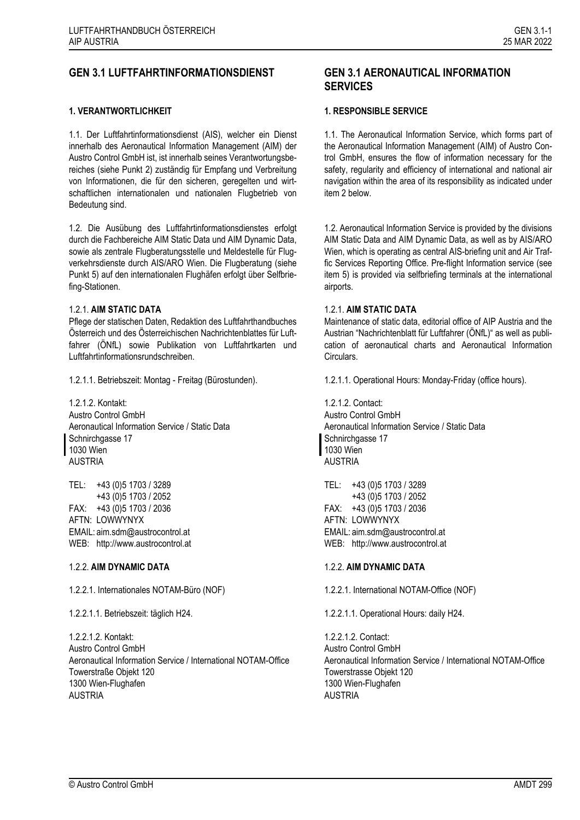# **GEN 3.1 LUFTFAHRTINFORMATIONSDIENST GEN 3.1 AERONAUTICAL INFORMATION**

### **1. VERANTWORTLICHKEIT 1. RESPONSIBLE SERVICE**

1.1. Der Luftfahrtinformationsdienst (AIS), welcher ein Dienst innerhalb des Aeronautical Information Management (AIM) der Austro Control GmbH ist, ist innerhalb seines Verantwortungsbereiches (siehe Punkt 2) zuständig für Empfang und Verbreitung von Informationen, die für den sicheren, geregelten und wirtschaftlichen internationalen und nationalen Flugbetrieb von Bedeutung sind.

1.2. Die Ausübung des Luftfahrtinformationsdienstes erfolgt durch die Fachbereiche AIM Static Data und AIM Dynamic Data, sowie als zentrale Flugberatungsstelle und Meldestelle für Flugverkehrsdienste durch AIS/ARO Wien. Die Flugberatung (siehe Punkt 5) auf den internationalen Flughäfen erfolgt über Selfbriefing-Stationen.

### 1.2.1. **AIM STATIC DATA**

Pflege der statischen Daten, Redaktion des Luftfahrthandbuches Österreich und des Österreichischen Nachrichtenblattes für Luftfahrer (ÖNfL) sowie Publikation von Luftfahrtkarten und Luftfahrtinformationsrundschreiben.

1.2.1.2. Kontakt: Austro Control GmbH Aeronautical Information Service / Static Data Schnirchgasse 17 1030 Wien AUSTRIA

TEL: +43 (0)5 1703 / 3289 +43 (0)5 1703 / 2052 FAX: +43 (0)5 1703 / 2036 AFTN: LOWWYNYX EMAIL: aim.sdm@austrocontrol.at WEB: http://www.austrocontrol.at

### 1.2.2. **AIM DYNAMIC DATA** 1.2.2. **AIM DYNAMIC DATA**

1.2.2.1. Internationales NOTAM-Büro (NOF) 1.2.2.1. International NOTAM-Office (NOF)

1.2.2.1.2. Kontakt: Austro Control GmbH Aeronautical Information Service / International NOTAM-Office Towerstraße Objekt 120 1300 Wien-Flughafen AUSTRIA

# **SERVICES**

1.1. The Aeronautical Information Service, which forms part of the Aeronautical Information Management (AIM) of Austro Control GmbH, ensures the flow of information necessary for the safety, regularity and efficiency of international and national air navigation within the area of its responsibility as indicated under item 2 below.

1.2. Aeronautical Information Service is provided by the divisions AIM Static Data and AIM Dynamic Data, as well as by AIS/ARO Wien, which is operating as central AIS-briefing unit and Air Traffic Services Reporting Office. Pre-flight Information service (see item 5) is provided via selfbriefing terminals at the international airports.

### 1.2.1. **AIM STATIC DATA**

Maintenance of static data, editorial office of AIP Austria and the Austrian "Nachrichtenblatt für Luftfahrer (ÖNfL)" as well as publication of aeronautical charts and Aeronautical Information Circulars.

1.2.1.1. Betriebszeit: Montag - Freitag (Bürostunden). 1.2.1.1. Operational Hours: Monday-Friday (office hours).

1.2.1.2. Contact: Austro Control GmbH Aeronautical Information Service / Static Data Schnirchgasse 17 1030 Wien AUSTRIA

TEL: +43 (0)5 1703 / 3289 +43 (0)5 1703 / 2052 FAX: +43 (0)5 1703 / 2036 AFTN: LOWWYNYX EMAIL: aim.sdm@austrocontrol.at WEB: http://www.austrocontrol.at

1.2.2.1.1. Betriebszeit: täglich H24. 1.2.2.1.1. Operational Hours: daily H24.

1.2.2.1.2. Contact: Austro Control GmbH Aeronautical Information Service / International NOTAM-Office Towerstrasse Objekt 120 1300 Wien-Flughafen AUSTRIA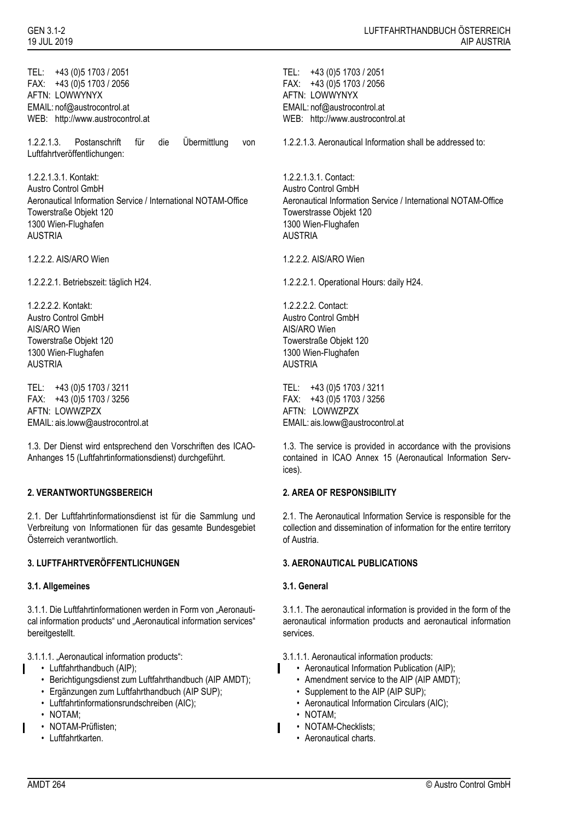TEL: +43 (0)5 1703 / 2051 FAX: +43 (0)5 1703 / 2056 AFTN: LOWWYNYX EMAIL: nof@austrocontrol.at WEB: http://www.austrocontrol.at

1.2.2.1.3. Postanschrift für die Übermittlung von Luftfahrtveröffentlichungen:

1.2.2.1.3.1. Kontakt: Austro Control GmbH Aeronautical Information Service / International NOTAM-Office Towerstraße Objekt 120 1300 Wien-Flughafen AUSTRIA

1.2.2.2.2. Kontakt: Austro Control GmbH AIS/ARO Wien Towerstraße Objekt 120 1300 Wien-Flughafen AUSTRIA

TEL: +43 (0)5 1703 / 3211 FAX: +43 (0)5 1703 / 3256 AFTN: LOWWZPZX EMAIL: ais.loww@austrocontrol.at

1.3. Der Dienst wird entsprechend den Vorschriften des ICAO-Anhanges 15 (Luftfahrtinformationsdienst) durchgeführt.

# **2. VERANTWORTUNGSBEREICH 2. AREA OF RESPONSIBILITY**

2.1. Der Luftfahrtinformationsdienst ist für die Sammlung und Verbreitung von Informationen für das gesamte Bundesgebiet Österreich verantwortlich.

### **3. LUFTFAHRTVERÖFFENTLICHUNGEN 3. AERONAUTICAL PUBLICATIONS**

### **3.1. Allgemeines 3.1. General**

3.1.1. Die Luftfahrtinformationen werden in Form von "Aeronautical information products" und "Aeronautical information services" bereitgestellt.

3.1.1.1. "Aeronautical information products": 3.1.1.1. Aeronautical information products:

- Luftfahrthandbuch (AIP);
- Berichtigungsdienst zum Luftfahrthandbuch (AIP AMDT);
- Ergänzungen zum Luftfahrthandbuch (AIP SUP);
- Luftfahrtinformationsrundschreiben (AIC);
- NOTAM;
- NOTAM-Prüflisten;
	- Luftfahrtkarten.

TEL: +43 (0)5 1703 / 2051 FAX: +43 (0)5 1703 / 2056 AFTN: LOWWYNYX EMAIL: nof@austrocontrol.at WEB: http://www.austrocontrol.at

1.2.2.1.3. Aeronautical Information shall be addressed to:

1.2.2.1.3.1. Contact: Austro Control GmbH Aeronautical Information Service / International NOTAM-Office Towerstrasse Objekt 120 1300 Wien-Flughafen AUSTRIA

1.2.2.2. AIS/ARO Wien 1.2.2.2. AIS/ARO Wien

1.2.2.2.1. Betriebszeit: täglich H24. 1.2.2.2.1. Operational Hours: daily H24.

1.2.2.2.2. Contact: Austro Control GmbH AIS/ARO Wien Towerstraße Objekt 120 1300 Wien-Flughafen AUSTRIA

TEL: +43 (0)5 1703 / 3211 FAX: +43 (0)5 1703 / 3256 AFTN: LOWWZPZX EMAIL: ais.loww@austrocontrol.at

1.3. The service is provided in accordance with the provisions contained in ICAO Annex 15 (Aeronautical Information Services).

2.1. The Aeronautical Information Service is responsible for the collection and dissemination of information for the entire territory of Austria.

3.1.1. The aeronautical information is provided in the form of the aeronautical information products and aeronautical information services.

- Aeronautical Information Publication (AIP);
- Amendment service to the AIP (AIP AMDT);
- Supplement to the AIP (AIP SUP);
- Aeronautical Information Circulars (AIC);
- NOTAM;
- NOTAM-Checklists:
- Aeronautical charts.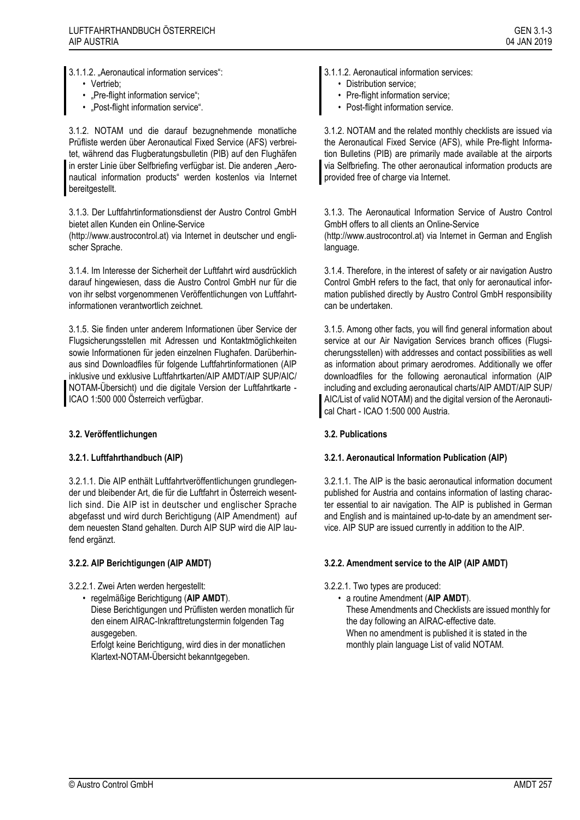- Vertrieb;
- "Pre-flight information service":
- "Post-flight information service".

3.1.2. NOTAM und die darauf bezugnehmende monatliche Prüfliste werden über Aeronautical Fixed Service (AFS) verbreitet, während das Flugberatungsbulletin (PIB) auf den Flughäfen in erster Linie über Selfbriefing verfügbar ist. Die anderen "Aeronautical information products" werden kostenlos via Internet bereitgestellt.

3.1.3. Der Luftfahrtinformationsdienst der Austro Control GmbH bietet allen Kunden ein Online-Service

(http://www.austrocontrol.at) via Internet in deutscher und englischer Sprache.

3.1.4. Im Interesse der Sicherheit der Luftfahrt wird ausdrücklich darauf hingewiesen, dass die Austro Control GmbH nur für die von ihr selbst vorgenommenen Veröffentlichungen von Luftfahrtinformationen verantwortlich zeichnet.

3.1.5. Sie finden unter anderem Informationen über Service der Flugsicherungsstellen mit Adressen und Kontaktmöglichkeiten sowie Informationen für jeden einzelnen Flughafen. Darüberhinaus sind Downloadfiles für folgende Luftfahrtinformationen (AIP inklusive und exklusive Luftfahrtkarten/AIP AMDT/AIP SUP/AIC/ NOTAM-Übersicht) und die digitale Version der Luftfahrtkarte - ICAO 1:500 000 Österreich verfügbar.

# **3.2. Veröffentlichungen 3.2. Publications**

3.2.1.1. Die AIP enthält Luftfahrtveröffentlichungen grundlegender und bleibender Art, die für die Luftfahrt in Österreich wesentlich sind. Die AIP ist in deutscher und englischer Sprache abgefasst und wird durch Berichtigung (AIP Amendment) auf dem neuesten Stand gehalten. Durch AIP SUP wird die AIP laufend ergänzt.

- 3.2.2.1. Zwei Arten werden hergestellt: 3.2.2.1. Two types are produced:
	- regelmäßige Berichtigung (**AIP AMDT**).

Diese Berichtigungen und Prüflisten werden monatlich für den einem AIRAC-Inkrafttretungstermin folgenden Tag ausgegeben.

Erfolgt keine Berichtigung, wird dies in der monatlichen Klartext-NOTAM-Übersicht bekanntgegeben.

- 3.1.1.2. "Aeronautical information services": 3.1.1.2. Aeronautical information services:
	- Distribution service;
	- Pre-flight information service:
	- Post-flight information service.

3.1.2. NOTAM and the related monthly checklists are issued via the Aeronautical Fixed Service (AFS), while Pre-flight Information Bulletins (PIB) are primarily made available at the airports via Selfbriefing. The other aeronautical information products are provided free of charge via Internet.

3.1.3. The Aeronautical Information Service of Austro Control GmbH offers to all clients an Online-Service (http://www.austrocontrol.at) via Internet in German and English language.

3.1.4. Therefore, in the interest of safety or air navigation Austro Control GmbH refers to the fact, that only for aeronautical information published directly by Austro Control GmbH responsibility can be undertaken.

3.1.5. Among other facts, you will find general information about service at our Air Navigation Services branch offices (Flugsicherungsstellen) with addresses and contact possibilities as well as information about primary aerodromes. Additionally we offer downloadfiles for the following aeronautical information (AIP including and excluding aeronautical charts/AIP AMDT/AIP SUP/ AIC/List of valid NOTAM) and the digital version of the Aeronautical Chart - ICAO 1:500 000 Austria.

# **3.2.1. Luftfahrthandbuch (AIP) 3.2.1. Aeronautical Information Publication (AIP)**

3.2.1.1. The AIP is the basic aeronautical information document published for Austria and contains information of lasting character essential to air navigation. The AIP is published in German and English and is maintained up-to-date by an amendment service. AIP SUP are issued currently in addition to the AIP.

# **3.2.2. AIP Berichtigungen (AIP AMDT) 3.2.2. Amendment service to the AIP (AIP AMDT)**

- - a routine Amendment (**AIP AMDT**). These Amendments and Checklists are issued monthly for the day following an AIRAC-effective date. When no amendment is published it is stated in the monthly plain language List of valid NOTAM.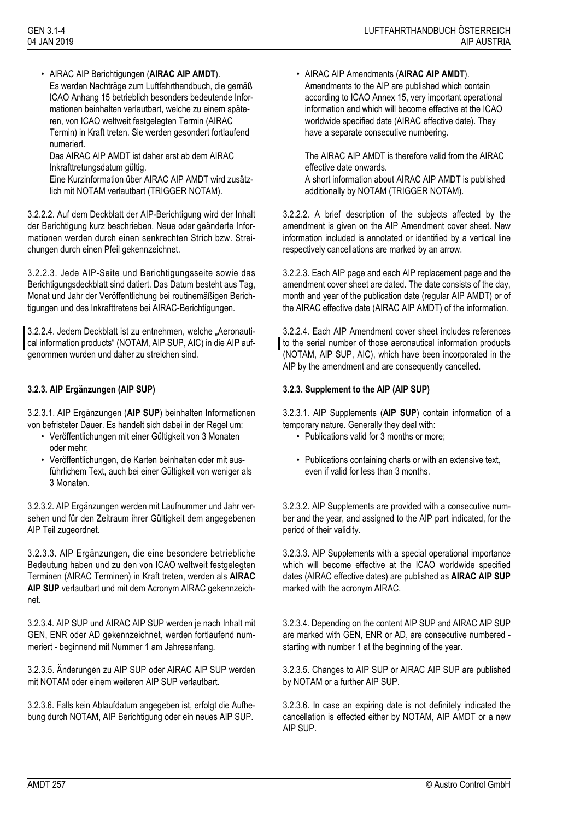• AIRAC AIP Berichtigungen (**AIRAC AIP AMDT**). Es werden Nachträge zum Luftfahrthandbuch, die gemäß ICAO Anhang 15 betrieblich besonders bedeutende Informationen beinhalten verlautbart, welche zu einem späteren, von ICAO weltweit festgelegten Termin (AIRAC Termin) in Kraft treten. Sie werden gesondert fortlaufend numeriert.

Das AIRAC AIP AMDT ist daher erst ab dem AIRAC Inkrafttretungsdatum gültig.

Eine Kurzinformation über AIRAC AIP AMDT wird zusätzlich mit NOTAM verlautbart (TRIGGER NOTAM).

3.2.2.2. Auf dem Deckblatt der AIP-Berichtigung wird der Inhalt der Berichtigung kurz beschrieben. Neue oder geänderte Informationen werden durch einen senkrechten Strich bzw. Streichungen durch einen Pfeil gekennzeichnet.

3.2.2.3. Jede AIP-Seite und Berichtigungsseite sowie das Berichtigungsdeckblatt sind datiert. Das Datum besteht aus Tag, Monat und Jahr der Veröffentlichung bei routinemäßigen Berichtigungen und des Inkrafttretens bei AIRAC-Berichtigungen.

3.2.2.4. Jedem Deckblatt ist zu entnehmen, welche "Aeronautical information products" (NOTAM, AIP SUP, AIC) in die AIP aufgenommen wurden und daher zu streichen sind.

3.2.3.1. AIP Ergänzungen (**AIP SUP**) beinhalten Informationen von befristeter Dauer. Es handelt sich dabei in der Regel um:

- Veröffentlichungen mit einer Gültigkeit von 3 Monaten oder mehr;
- Veröffentlichungen, die Karten beinhalten oder mit ausführlichem Text, auch bei einer Gültigkeit von weniger als 3 Monaten.

3.2.3.2. AIP Ergänzungen werden mit Laufnummer und Jahr versehen und für den Zeitraum ihrer Gültigkeit dem angegebenen AIP Teil zugeordnet.

3.2.3.3. AIP Ergänzungen, die eine besondere betriebliche Bedeutung haben und zu den von ICAO weltweit festgelegten Terminen (AIRAC Terminen) in Kraft treten, werden als **AIRAC AIP SUP** verlautbart und mit dem Acronym AIRAC gekennzeichnet.

3.2.3.4. AIP SUP und AIRAC AIP SUP werden je nach Inhalt mit GEN, ENR oder AD gekennzeichnet, werden fortlaufend nummeriert - beginnend mit Nummer 1 am Jahresanfang.

3.2.3.5. Änderungen zu AIP SUP oder AIRAC AIP SUP werden mit NOTAM oder einem weiteren AIP SUP verlautbart.

3.2.3.6. Falls kein Ablaufdatum angegeben ist, erfolgt die Aufhebung durch NOTAM, AIP Berichtigung oder ein neues AIP SUP.

• AIRAC AIP Amendments (**AIRAC AIP AMDT**). Amendments to the AIP are published which contain according to ICAO Annex 15, very important operational information and which will become effective at the ICAO worldwide specified date (AIRAC effective date). They have a separate consecutive numbering.

The AIRAC AIP AMDT is therefore valid from the AIRAC effective date onwards.

A short information about AIRAC AIP AMDT is published additionally by NOTAM (TRIGGER NOTAM).

3.2.2.2. A brief description of the subjects affected by the amendment is given on the AIP Amendment cover sheet. New information included is annotated or identified by a vertical line respectively cancellations are marked by an arrow.

3.2.2.3. Each AIP page and each AIP replacement page and the amendment cover sheet are dated. The date consists of the day, month and year of the publication date (regular AIP AMDT) or of the AIRAC effective date (AIRAC AIP AMDT) of the information.

3.2.2.4. Each AIP Amendment cover sheet includes references to the serial number of those aeronautical information products (NOTAM, AIP SUP, AIC), which have been incorporated in the AIP by the amendment and are consequently cancelled.

# **3.2.3. AIP Ergänzungen (AIP SUP) 3.2.3. Supplement to the AIP (AIP SUP)**

3.2.3.1. AIP Supplements (**AIP SUP**) contain information of a temporary nature. Generally they deal with:

- Publications valid for 3 months or more:
- Publications containing charts or with an extensive text, even if valid for less than 3 months.

3.2.3.2. AIP Supplements are provided with a consecutive number and the year, and assigned to the AIP part indicated, for the period of their validity.

3.2.3.3. AIP Supplements with a special operational importance which will become effective at the ICAO worldwide specified dates (AIRAC effective dates) are published as **AIRAC AIP SUP** marked with the acronym AIRAC.

3.2.3.4. Depending on the content AIP SUP and AIRAC AIP SUP are marked with GEN, ENR or AD, are consecutive numbered starting with number 1 at the beginning of the year.

3.2.3.5. Changes to AIP SUP or AIRAC AIP SUP are published by NOTAM or a further AIP SUP.

3.2.3.6. In case an expiring date is not definitely indicated the cancellation is effected either by NOTAM, AIP AMDT or a new AIP SUP.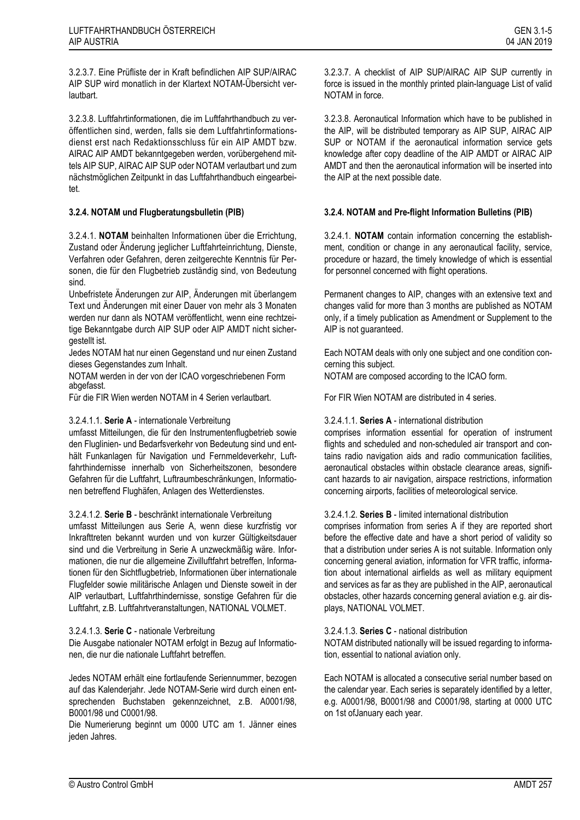3.2.3.7. Eine Prüfliste der in Kraft befindlichen AIP SUP/AIRAC AIP SUP wird monatlich in der Klartext NOTAM-Übersicht verlautbart.

3.2.3.8. Luftfahrtinformationen, die im Luftfahrthandbuch zu veröffentlichen sind, werden, falls sie dem Luftfahrtinformationsdienst erst nach Redaktionsschluss für ein AIP AMDT bzw. AIRAC AIP AMDT bekanntgegeben werden, vorübergehend mittels AIP SUP, AIRAC AIP SUP oder NOTAM verlautbart und zum nächstmöglichen Zeitpunkt in das Luftfahrthandbuch eingearbeitet.

3.2.4.1. **NOTAM** beinhalten Informationen über die Errichtung, Zustand oder Änderung jeglicher Luftfahrteinrichtung, Dienste, Verfahren oder Gefahren, deren zeitgerechte Kenntnis für Personen, die für den Flugbetrieb zuständig sind, von Bedeutung sind.

Unbefristete Änderungen zur AIP, Änderungen mit überlangem Text und Änderungen mit einer Dauer von mehr als 3 Monaten werden nur dann als NOTAM veröffentlicht, wenn eine rechtzeitige Bekanntgabe durch AIP SUP oder AIP AMDT nicht sichergestellt ist.

Jedes NOTAM hat nur einen Gegenstand und nur einen Zustand dieses Gegenstandes zum Inhalt.

NOTAM werden in der von der ICAO vorgeschriebenen Form abgefasst.

Für die FIR Wien werden NOTAM in 4 Serien verlautbart. For FIR Wien NOTAM are distributed in 4 series.

# 3.2.4.1.1. **Serie A** - internationale Verbreitung

umfasst Mitteilungen, die für den Instrumentenflugbetrieb sowie den Fluglinien- und Bedarfsverkehr von Bedeutung sind und enthält Funkanlagen für Navigation und Fernmeldeverkehr, Luftfahrthindernisse innerhalb von Sicherheitszonen, besondere Gefahren für die Luftfahrt, Luftraumbeschränkungen, Informationen betreffend Flughäfen, Anlagen des Wetterdienstes.

3.2.4.1.2. **Serie B** - beschränkt internationale Verbreitung

umfasst Mitteilungen aus Serie A, wenn diese kurzfristig vor Inkrafttreten bekannt wurden und von kurzer Gültigkeitsdauer sind und die Verbreitung in Serie A unzweckmäßig wäre. Informationen, die nur die allgemeine Zivilluftfahrt betreffen, Informationen für den Sichtflugbetrieb, Informationen über internationale Flugfelder sowie militärische Anlagen und Dienste soweit in der AIP verlautbart, Luftfahrthindernisse, sonstige Gefahren für die Luftfahrt, z.B. Luftfahrtveranstaltungen, NATIONAL VOLMET.

# 3.2.4.1.3. **Serie C** - nationale Verbreitung

Die Ausgabe nationaler NOTAM erfolgt in Bezug auf Informationen, die nur die nationale Luftfahrt betreffen.

Jedes NOTAM erhält eine fortlaufende Seriennummer, bezogen auf das Kalenderjahr. Jede NOTAM-Serie wird durch einen entsprechenden Buchstaben gekennzeichnet, z.B. A0001/98, B0001/98 und C0001/98.

Die Numerierung beginnt um 0000 UTC am 1. Jänner eines jeden Jahres.

3.2.3.7. A checklist of AIP SUP/AIRAC AIP SUP currently in force is issued in the monthly printed plain-language List of valid NOTAM in force.

3.2.3.8. Aeronautical Information which have to be published in the AIP, will be distributed temporary as AIP SUP, AIRAC AIP SUP or NOTAM if the aeronautical information service gets knowledge after copy deadline of the AIP AMDT or AIRAC AIP AMDT and then the aeronautical information will be inserted into the AIP at the next possible date.

# **3.2.4. NOTAM und Flugberatungsbulletin (PIB) 3.2.4. NOTAM and Pre-flight Information Bulletins (PIB)**

3.2.4.1. **NOTAM** contain information concerning the establishment, condition or change in any aeronautical facility, service, procedure or hazard, the timely knowledge of which is essential for personnel concerned with flight operations.

Permanent changes to AIP, changes with an extensive text and changes valid for more than 3 months are published as NOTAM only, if a timely publication as Amendment or Supplement to the AIP is not guaranteed.

Each NOTAM deals with only one subject and one condition concerning this subject.

NOTAM are composed according to the ICAO form.

# 3.2.4.1.1. **Series A** - international distribution

comprises information essential for operation of instrument flights and scheduled and non-scheduled air transport and contains radio navigation aids and radio communication facilities, aeronautical obstacles within obstacle clearance areas, significant hazards to air navigation, airspace restrictions, information concerning airports, facilities of meteorological service.

### 3.2.4.1.2. **Series B** - limited international distribution

comprises information from series A if they are reported short before the effective date and have a short period of validity so that a distribution under series A is not suitable. Information only concerning general aviation, information for VFR traffic, information about international airfields as well as military equipment and services as far as they are published in the AIP, aeronautical obstacles, other hazards concerning general aviation e.g. air displays, NATIONAL VOLMET.

### 3.2.4.1.3. **Series C** - national distribution

NOTAM distributed nationally will be issued regarding to information, essential to national aviation only.

Each NOTAM is allocated a consecutive serial number based on the calendar year. Each series is separately identified by a letter, e.g. A0001/98, B0001/98 and C0001/98, starting at 0000 UTC on 1st ofJanuary each year.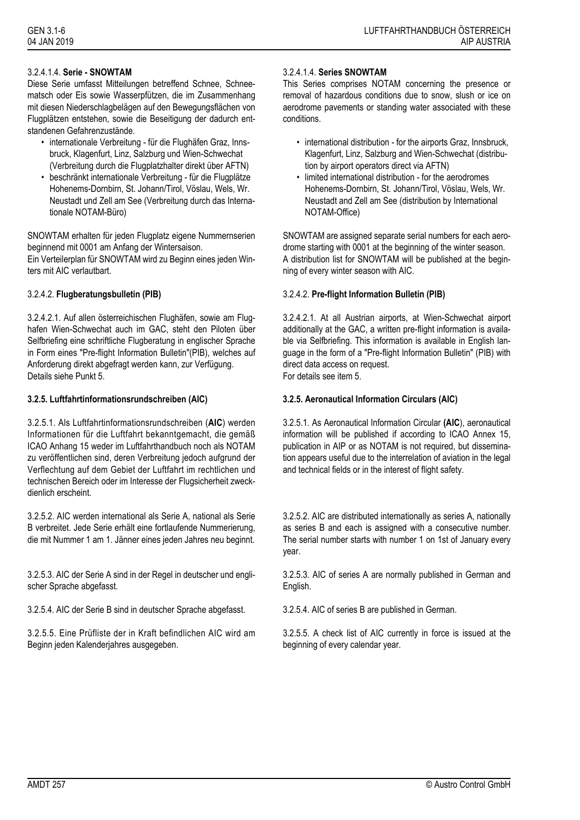# 3.2.4.1.4. **Serie - SNOWTAM**

Diese Serie umfasst Mitteilungen betreffend Schnee, Schneematsch oder Eis sowie Wasserpfützen, die im Zusammenhang mit diesen Niederschlagbelägen auf den Bewegungsflächen von Flugplätzen entstehen, sowie die Beseitigung der dadurch entstandenen Gefahrenzustände.

- internationale Verbreitung für die Flughäfen Graz, Innsbruck, Klagenfurt, Linz, Salzburg und Wien-Schwechat (Verbreitung durch die Flugplatzhalter direkt über AFTN)
- beschränkt internationale Verbreitung für die Flugplätze Hohenems-Dornbirn, St. Johann/Tirol, Vöslau, Wels, Wr. Neustadt und Zell am See (Verbreitung durch das Internationale NOTAM-Büro)

SNOWTAM erhalten für jeden Flugplatz eigene Nummernserien beginnend mit 0001 am Anfang der Wintersaison.

Ein Verteilerplan für SNOWTAM wird zu Beginn eines jeden Winters mit AIC verlautbart.

3.2.4.2.1. Auf allen österreichischen Flughäfen, sowie am Flughafen Wien-Schwechat auch im GAC, steht den Piloten über Selfbriefing eine schriftliche Flugberatung in englischer Sprache in Form eines "Pre-flight Information Bulletin"(PIB), welches auf Anforderung direkt abgefragt werden kann, zur Verfügung. Details siehe Punkt 5.

# **3.2.5. Luftfahrtinformationsrundschreiben (AIC) 3.2.5. Aeronautical Information Circulars (AIC)**

3.2.5.1. Als Luftfahrtinformationsrundschreiben (**AIC**) werden Informationen für die Luftfahrt bekanntgemacht, die gemäß ICAO Anhang 15 weder im Luftfahrthandbuch noch als NOTAM zu veröffentlichen sind, deren Verbreitung jedoch aufgrund der Verflechtung auf dem Gebiet der Luftfahrt im rechtlichen und technischen Bereich oder im Interesse der Flugsicherheit zweckdienlich erscheint.

3.2.5.2. AIC werden international als Serie A, national als Serie B verbreitet. Jede Serie erhält eine fortlaufende Nummerierung, die mit Nummer 1 am 1. Jänner eines jeden Jahres neu beginnt.

3.2.5.3. AIC der Serie A sind in der Regel in deutscher und englischer Sprache abgefasst.

3.2.5.4. AIC der Serie B sind in deutscher Sprache abgefasst. 3.2.5.4. AIC of series B are published in German.

3.2.5.5. Eine Prüfliste der in Kraft befindlichen AIC wird am Beginn jeden Kalenderjahres ausgegeben.

### 3.2.4.1.4. **Series SNOWTAM**

This Series comprises NOTAM concerning the presence or removal of hazardous conditions due to snow, slush or ice on aerodrome pavements or standing water associated with these conditions.

- international distribution for the airports Graz, Innsbruck, Klagenfurt, Linz, Salzburg and Wien-Schwechat (distribution by airport operators direct via AFTN)
- limited international distribution for the aerodromes Hohenems-Dornbirn, St. Johann/Tirol, Vöslau, Wels, Wr. Neustadt and Zell am See (distribution by International NOTAM-Office)

SNOWTAM are assigned separate serial numbers for each aerodrome starting with 0001 at the beginning of the winter season. A distribution list for SNOWTAM will be published at the beginning of every winter season with AIC.

# 3.2.4.2. **Flugberatungsbulletin (PIB)** 3.2.4.2. **Pre-flight Information Bulletin (PIB)**

3.2.4.2.1. At all Austrian airports, at Wien-Schwechat airport additionally at the GAC, a written pre-flight information is available via Selfbriefing. This information is available in English language in the form of a "Pre-flight Information Bulletin" (PIB) with direct data access on request. For details see item 5.

3.2.5.1. As Aeronautical Information Circular **(AIC**), aeronautical information will be published if according to ICAO Annex 15, publication in AIP or as NOTAM is not required, but dissemination appears useful due to the interrelation of aviation in the legal and technical fields or in the interest of flight safety.

3.2.5.2. AIC are distributed internationally as series A, nationally as series B and each is assigned with a consecutive number. The serial number starts with number 1 on 1st of January every year.

3.2.5.3. AIC of series A are normally published in German and English.

3.2.5.5. A check list of AIC currently in force is issued at the beginning of every calendar year.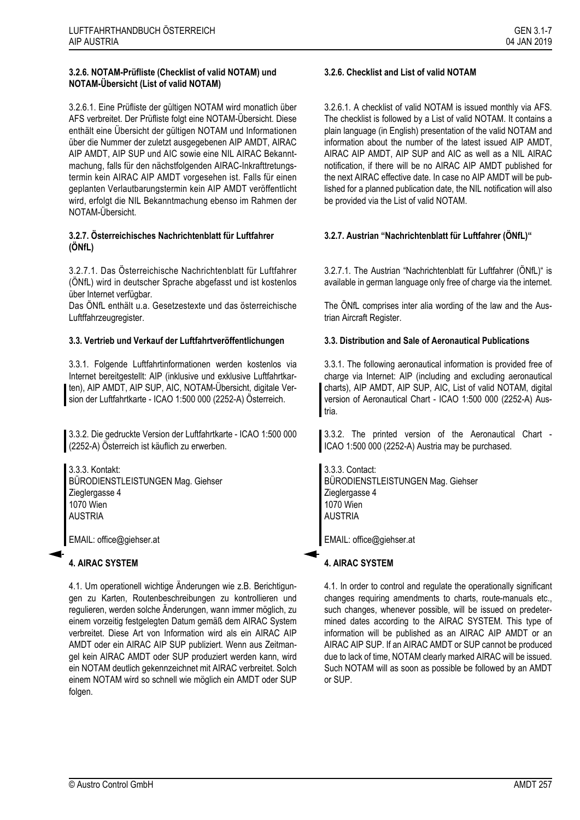# **3.2.6. NOTAM-Prüfliste (Checklist of valid NOTAM) und NOTAM-Übersicht (List of valid NOTAM)**

3.2.6.1. Eine Prüfliste der gültigen NOTAM wird monatlich über AFS verbreitet. Der Prüfliste folgt eine NOTAM-Übersicht. Diese enthält eine Übersicht der gültigen NOTAM und Informationen über die Nummer der zuletzt ausgegebenen AIP AMDT, AIRAC AIP AMDT, AIP SUP und AIC sowie eine NIL AIRAC Bekanntmachung, falls für den nächstfolgenden AIRAC-Inkrafttretungstermin kein AIRAC AIP AMDT vorgesehen ist. Falls für einen geplanten Verlautbarungstermin kein AIP AMDT veröffentlicht wird, erfolgt die NIL Bekanntmachung ebenso im Rahmen der NOTAM-Übersicht.

# **3.2.7. Österreichisches Nachrichtenblatt für Luftfahrer (ÖNfL)**

3.2.7.1. Das Österreichische Nachrichtenblatt für Luftfahrer (ÖNfL) wird in deutscher Sprache abgefasst und ist kostenlos über Internet verfügbar.

Das ÖNfL enthält u.a. Gesetzestexte und das österreichische Luftffahrzeugregister.

# **3.3. Vertrieb und Verkauf der Luftfahrtveröffentlichungen 3.3. Distribution and Sale of Aeronautical Publications**

3.3.1. Folgende Luftfahrtinformationen werden kostenlos via Internet bereitgestellt: AIP (inklusive und exklusive Luftfahrtkarten), AIP AMDT, AIP SUP, AIC, NOTAM-Übersicht, digitale Version der Luftfahrtkarte - ICAO 1:500 000 (2252-A) Österreich.

3.3.2. Die gedruckte Version der Luftfahrtkarte - ICAO 1:500 000 (2252-A) Österreich ist käuflich zu erwerben.

3.3.3. Kontakt: BÜRODIENSTLEISTUNGEN Mag. Giehser Zieglergasse 4 1070 Wien AUSTRIA

EMAIL: office@giehser.at

4.1. Um operationell wichtige Änderungen wie z.B. Berichtigungen zu Karten, Routenbeschreibungen zu kontrollieren und regulieren, werden solche Änderungen, wann immer möglich, zu einem vorzeitig festgelegten Datum gemäß dem AIRAC System verbreitet. Diese Art von Information wird als ein AIRAC AIP AMDT oder ein AIRAC AIP SUP publiziert. Wenn aus Zeitmangel kein AIRAC AMDT oder SUP produziert werden kann, wird ein NOTAM deutlich gekennzeichnet mit AIRAC verbreitet. Solch einem NOTAM wird so schnell wie möglich ein AMDT oder SUP folgen.

# **3.2.6. Checklist and List of valid NOTAM**

3.2.6.1. A checklist of valid NOTAM is issued monthly via AFS. The checklist is followed by a List of valid NOTAM. It contains a plain language (in English) presentation of the valid NOTAM and information about the number of the latest issued AIP AMDT, AIRAC AIP AMDT, AIP SUP and AIC as well as a NIL AIRAC notification, if there will be no AIRAC AIP AMDT published for the next AIRAC effective date. In case no AIP AMDT will be published for a planned publication date, the NIL notification will also be provided via the List of valid NOTAM.

# **3.2.7. Austrian "Nachrichtenblatt für Luftfahrer (ÖNfL)"**

3.2.7.1. The Austrian "Nachrichtenblatt für Luftfahrer (ÖNfL)" is available in german language only free of charge via the internet.

The ÖNfL comprises inter alia wording of the law and the Austrian Aircraft Register.

3.3.1. The following aeronautical information is provided free of charge via Internet: AIP (including and excluding aeronautical charts), AIP AMDT, AIP SUP, AIC, List of valid NOTAM, digital version of Aeronautical Chart - ICAO 1:500 000 (2252-A) Austria.

3.3.2. The printed version of the Aeronautical Chart - ICAO 1:500 000 (2252-A) Austria may be purchased.

3.3.3. Contact: BÜRODIENSTLEISTUNGEN Mag. Giehser Zieglergasse 4 1070 Wien AUSTRIA

EMAIL: office@giehser.at

# **4. AIRAC SYSTEM 4. AIRAC SYSTEM**

4.1. In order to control and regulate the operationally significant changes requiring amendments to charts, route-manuals etc., such changes, whenever possible, will be issued on predetermined dates according to the AIRAC SYSTEM. This type of information will be published as an AIRAC AIP AMDT or an AIRAC AIP SUP. If an AIRAC AMDT or SUP cannot be produced due to lack of time, NOTAM clearly marked AIRAC will be issued. Such NOTAM will as soon as possible be followed by an AMDT or SUP.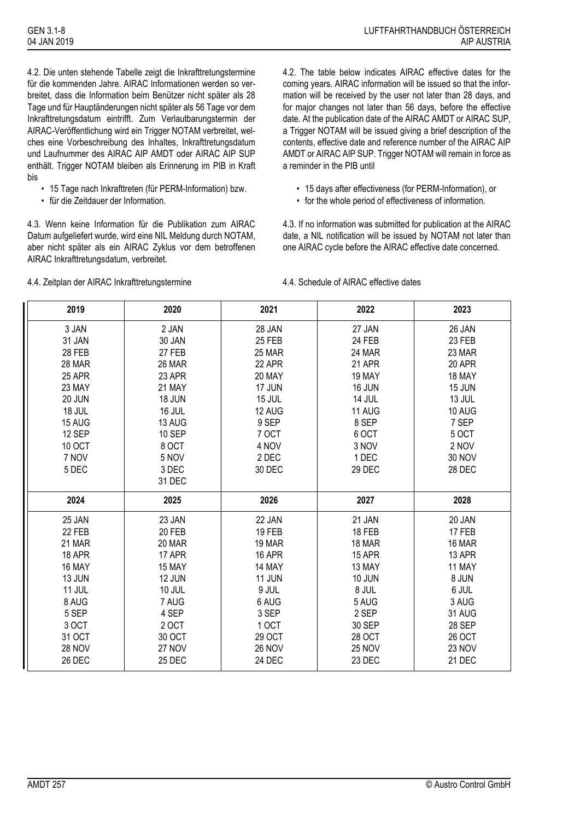4.2. Die unten stehende Tabelle zeigt die Inkrafttretungstermine für die kommenden Jahre. AIRAC Informationen werden so verbreitet, dass die Information beim Benützer nicht später als 28 Tage und für Hauptänderungen nicht später als 56 Tage vor dem Inkrafttretungsdatum eintrifft. Zum Verlautbarungstermin der AIRAC-Veröffentlichung wird ein Trigger NOTAM verbreitet, welches eine Vorbeschreibung des Inhaltes, Inkrafttretungsdatum und Laufnummer des AIRAC AIP AMDT oder AIRAC AIP SUP enthält. Trigger NOTAM bleiben als Erinnerung im PIB in Kraft bis

- 15 Tage nach Inkrafttreten (für PERM-Information) bzw.
- für die Zeitdauer der Information.

4.3. Wenn keine Information für die Publikation zum AIRAC Datum aufgeliefert wurde, wird eine NIL Meldung durch NOTAM, aber nicht später als ein AIRAC Zyklus vor dem betroffenen AIRAC Inkrafttretungsdatum, verbreitet.

4.2. The table below indicates AIRAC effective dates for the coming years. AIRAC information will be issued so that the information will be received by the user not later than 28 days, and for major changes not later than 56 days, before the effective date. At the publication date of the AIRAC AMDT or AIRAC SUP, a Trigger NOTAM will be issued giving a brief description of the contents, effective date and reference number of the AIRAC AIP AMDT or AIRAC AIP SUP. Trigger NOTAM will remain in force as a reminder in the PIB until

- 15 days after effectiveness (for PERM-Information), or
- for the whole period of effectiveness of information.

4.3. If no information was submitted for publication at the AIRAC date, a NIL notification will be issued by NOTAM not later than one AIRAC cycle before the AIRAC effective date concerned.

| 2019                    | 2020             | 2021                    | 2022                    | 2023             |
|-------------------------|------------------|-------------------------|-------------------------|------------------|
| 3 JAN                   | 2 JAN            | 28 JAN                  | 27 JAN                  | 26 JAN           |
| 31 JAN                  | 30 JAN           | <b>25 FEB</b>           | 24 FEB                  | 23 FEB           |
| 28 FEB                  | 27 FEB           | 25 MAR                  | 24 MAR                  | 23 MAR           |
| 28 MAR                  | 26 MAR           | 22 APR                  | 21 APR                  | 20 APR           |
| 25 APR                  | 23 APR           | 20 MAY                  | 19 MAY                  | 18 MAY           |
| 23 MAY                  | 21 MAY           | <b>17 JUN</b>           | 16 JUN                  | 15 JUN           |
| 20 JUN                  | 18 JUN           | 15 JUL                  | 14 JUL                  | 13 JUL           |
| 18 JUL                  | 16 JUL           | 12 AUG                  | 11 AUG                  | 10 AUG           |
| 15 AUG                  | 13 AUG           | 9 SEP                   | 8 SEP                   | 7 SEP            |
| 12 SEP                  | <b>10 SEP</b>    | 7 OCT                   | 6 OCT                   | <b>5 OCT</b>     |
| <b>10 OCT</b>           | 8 OCT            | 4 NOV                   | 3 NOV                   | 2 NOV            |
| 7 NOV                   | 5 NOV            | 2 DEC                   | 1 DEC                   | <b>30 NOV</b>    |
| 5 DEC                   | 3 DEC            | 30 DEC                  | 29 DEC                  | 28 DEC           |
|                         | 31 DEC           |                         |                         |                  |
| 2024                    |                  |                         |                         |                  |
|                         | 2025             | 2026                    | 2027                    | 2028             |
| 25 JAN                  | 23 JAN           | 22 JAN                  | 21 JAN                  | 20 JAN           |
| 22 FEB                  | 20 FEB           | <b>19 FEB</b>           | <b>18 FEB</b>           | <b>17 FEB</b>    |
| 21 MAR                  | 20 MAR           | 19 MAR                  | 18 MAR                  | 16 MAR           |
| <b>18 APR</b>           | 17 APR           | <b>16 APR</b>           | 15 APR                  | 13 APR           |
| 16 MAY                  | 15 MAY           | 14 MAY                  | 13 MAY                  | 11 MAY           |
| 13 JUN                  | 12 JUN           | 11 JUN                  | <b>10 JUN</b>           | 8 JUN            |
| 11 JUL                  | 10 JUL           | 9 JUL                   | 8 JUL                   | 6 JUL            |
| 8 AUG                   | 7 AUG            | 6 AUG                   | 5 AUG                   | 3 AUG            |
| 5 SEP                   | 4 SEP            | 3 SEP                   | 2 SEP                   | 31 AUG           |
| 3 OCT                   | 2 OCT            | 1 OCT                   | 30 SEP                  | 28 SEP           |
| 31 OCT                  | 30 OCT           | 29 OCT                  | 28 OCT                  | <b>26 OCT</b>    |
| <b>28 NOV</b><br>26 DEC | 27 NOV<br>25 DEC | <b>26 NOV</b><br>24 DEC | <b>25 NOV</b><br>23 DEC | 23 NOV<br>21 DEC |

4.4. Zeitplan der AIRAC Inkrafttretungstermine 4.4. Schedule of AIRAC effective dates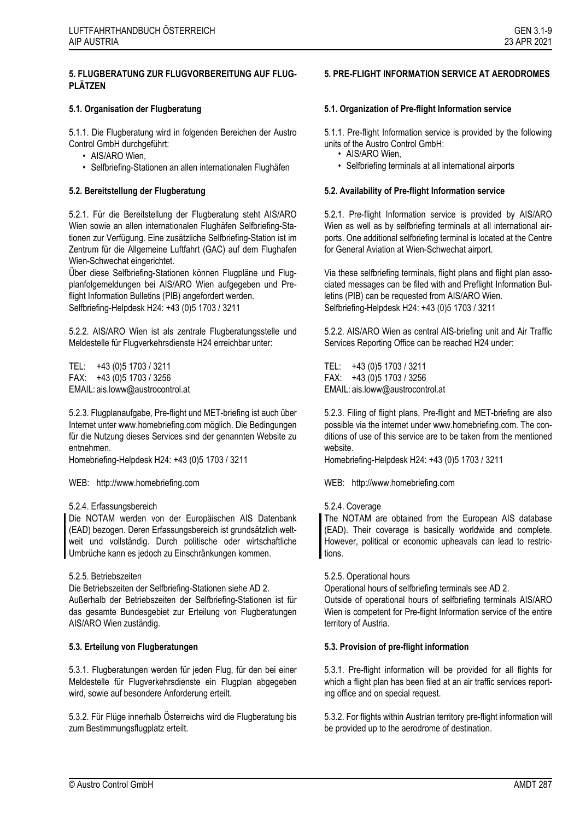5.1.1. Die Flugberatung wird in folgenden Bereichen der Austro Control GmbH durchgeführt:

- AIS/ARO Wien,
- Selfbriefing-Stationen an allen internationalen Flughäfen

5.2.1. Für die Bereitstellung der Flugberatung steht AIS/ARO Wien sowie an allen internationalen Flughäfen Selfbriefing-Stationen zur Verfügung. Eine zusätzliche Selfbriefing-Station ist im Zentrum für die Allgemeine Luftfahrt (GAC) auf dem Flughafen Wien-Schwechat eingerichtet.

Über diese Selfbriefing-Stationen können Flugpläne und Flugplanfolgemeldungen bei AIS/ARO Wien aufgegeben und Preflight Information Bulletins (PIB) angefordert werden. Selfbriefing-Helpdesk H24: +43 (0)5 1703 / 3211

5.2.2. AIS/ARO Wien ist als zentrale Flugberatungsstelle und Meldestelle für Flugverkehrsdienste H24 erreichbar unter:

TEL: +43 (0)5 1703 / 3211 FAX: +43 (0)5 1703 / 3256 EMAIL: ais.loww@austrocontrol.at

5.2.3. Flugplanaufgabe, Pre-flight und MET-briefing ist auch über Internet unter www.homebriefing.com möglich. Die Bedingungen für die Nutzung dieses Services sind der genannten Website zu entnehmen.

Homebriefing-Helpdesk H24: +43 (0)5 1703 / 3211

### WEB: http://www.homebriefing.com WEB: http://www.homebriefing.com

### 5.2.4. Erfassungsbereich

Die NOTAM werden von der Europäischen AIS Datenbank (EAD) bezogen. Deren Erfassungsbereich ist grundsätzlich weltweit und vollständig. Durch politische oder wirtschaftliche Umbrüche kann es jedoch zu Einschränkungen kommen.

### 5.2.5. Betriebszeiten

Die Betriebszeiten der Selfbriefing-Stationen siehe AD 2. Außerhalb der Betriebszeiten der Selfbriefing-Stationen ist für das gesamte Bundesgebiet zur Erteilung von Flugberatungen AIS/ARO Wien zuständig.

5.3.1. Flugberatungen werden für jeden Flug, für den bei einer Meldestelle für Flugverkehrsdienste ein Flugplan abgegeben wird, sowie auf besondere Anforderung erteilt.

5.3.2. Für Flüge innerhalb Österreichs wird die Flugberatung bis zum Bestimmungsflugplatz erteilt.

### **5. PRE-FLIGHT INFORMATION SERVICE AT AERODROMES**

### **5.1. Organisation der Flugberatung 5.1. Organization of Pre-flight Information service**

5.1.1. Pre-flight Information service is provided by the following units of the Austro Control GmbH:

- AIS/ARO Wien,
- Selfbriefing terminals at all international airports

### **5.2. Bereitstellung der Flugberatung 5.2. Availability of Pre-flight Information service**

5.2.1. Pre-flight Information service is provided by AIS/ARO Wien as well as by selfbriefing terminals at all international airports. One additional selfbriefing terminal is located at the Centre for General Aviation at Wien-Schwechat airport.

Via these selfbriefing terminals, flight plans and flight plan associated messages can be filed with and Preflight Information Bulletins (PIB) can be requested from AIS/ARO Wien. Selfbriefing-Helpdesk H24: +43 (0)5 1703 / 3211

5.2.2. AIS/ARO Wien as central AIS-briefing unit and Air Traffic Services Reporting Office can be reached H24 under:

TEL: +43 (0)5 1703 / 3211 FAX: +43 (0)5 1703 / 3256 EMAIL: ais.loww@austrocontrol.at

5.2.3. Filing of flight plans, Pre-flight and MET-briefing are also possible via the internet under www.homebriefing.com. The conditions of use of this service are to be taken from the mentioned website.

Homebriefing-Helpdesk H24: +43 (0)5 1703 / 3211

### 5.2.4. Coverage

The NOTAM are obtained from the European AIS database (EAD). Their coverage is basically worldwide and complete. However, political or economic upheavals can lead to restrictions.

### 5.2.5. Operational hours

Operational hours of selfbriefing terminals see AD 2.

Outside of operational hours of selfbriefing terminals AIS/ARO Wien is competent for Pre-flight Information service of the entire territory of Austria.

### **5.3. Erteilung von Flugberatungen 5.3. Provision of pre-flight information**

5.3.1. Pre-flight information will be provided for all flights for which a flight plan has been filed at an air traffic services reporting office and on special request.

5.3.2. For flights within Austrian territory pre-flight information will be provided up to the aerodrome of destination.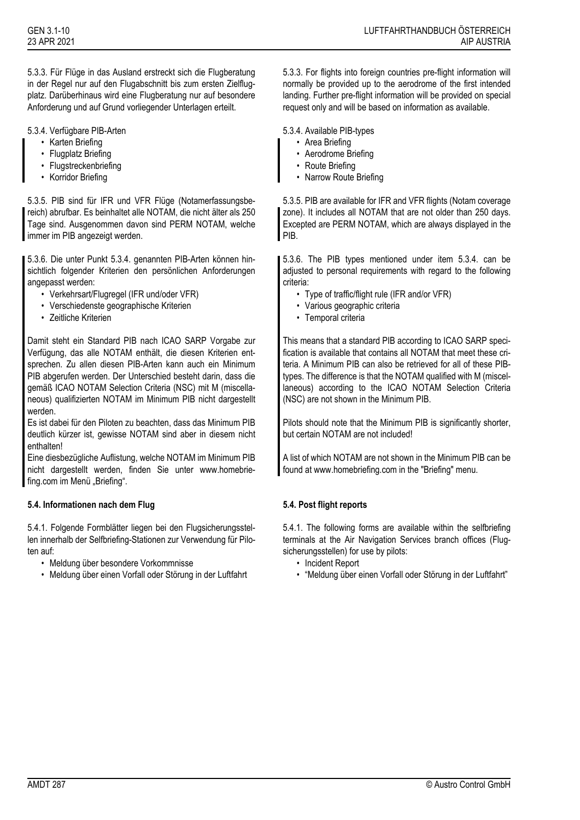5.3.3. Für Flüge in das Ausland erstreckt sich die Flugberatung in der Regel nur auf den Flugabschnitt bis zum ersten Zielflugplatz. Darüberhinaus wird eine Flugberatung nur auf besondere Anforderung und auf Grund vorliegender Unterlagen erteilt.

### 5.3.4. Verfügbare PIB-Arten 5.3.4. Available PIB-types

- Karten Briefing
- Flugplatz Briefing
- Flugstreckenbriefing
- Korridor Briefing

5.3.5. PIB sind für IFR und VFR Flüge (Notamerfassungsbereich) abrufbar. Es beinhaltet alle NOTAM, die nicht älter als 250 Tage sind. Ausgenommen davon sind PERM NOTAM, welche immer im PIB angezeigt werden.

5.3.6. Die unter Punkt 5.3.4. genannten PIB-Arten können hinsichtlich folgender Kriterien den persönlichen Anforderungen angepasst werden:

- Verkehrsart/Flugregel (IFR und/oder VFR)
- Verschiedenste geographische Kriterien
- Zeitliche Kriterien

Damit steht ein Standard PIB nach ICAO SARP Vorgabe zur Verfügung, das alle NOTAM enthält, die diesen Kriterien entsprechen. Zu allen diesen PIB-Arten kann auch ein Minimum PIB abgerufen werden. Der Unterschied besteht darin, dass die gemäß ICAO NOTAM Selection Criteria (NSC) mit M (miscellaneous) qualifizierten NOTAM im Minimum PIB nicht dargestellt werden.

Es ist dabei für den Piloten zu beachten, dass das Minimum PIB deutlich kürzer ist, gewisse NOTAM sind aber in diesem nicht enthalten!

Eine diesbezügliche Auflistung, welche NOTAM im Minimum PIB nicht dargestellt werden, finden Sie unter www.homebriefing.com im Menü "Briefing".

# **5.4. Informationen nach dem Flug 5.4. Post flight reports**

5.4.1. Folgende Formblätter liegen bei den Flugsicherungsstellen innerhalb der Selfbriefing-Stationen zur Verwendung für Piloten auf:

- Meldung über besondere Vorkommnisse
- Meldung über einen Vorfall oder Störung in der Luftfahrt

5.3.3. For flights into foreign countries pre-flight information will normally be provided up to the aerodrome of the first intended landing. Further pre-flight information will be provided on special request only and will be based on information as available.

- Area Briefing
- Aerodrome Briefing
- Route Briefing
- Narrow Route Briefing

5.3.5. PIB are available for IFR and VFR flights (Notam coverage zone). It includes all NOTAM that are not older than 250 days. Excepted are PERM NOTAM, which are always displayed in the PIB.

5.3.6. The PIB types mentioned under item 5.3.4. can be adjusted to personal requirements with regard to the following criteria:

- Type of traffic/flight rule (IFR and/or VFR)
- Various geographic criteria
- Temporal criteria

This means that a standard PIB according to ICAO SARP specification is available that contains all NOTAM that meet these criteria. A Minimum PIB can also be retrieved for all of these PIBtypes. The difference is that the NOTAM qualified with M (miscellaneous) according to the ICAO NOTAM Selection Criteria (NSC) are not shown in the Minimum PIB.

Pilots should note that the Minimum PIB is significantly shorter, but certain NOTAM are not included!

A list of which NOTAM are not shown in the Minimum PIB can be found at www.homebriefing.com in the "Briefing" menu.

5.4.1. The following forms are available within the selfbriefing terminals at the Air Navigation Services branch offices (Flugsicherungsstellen) for use by pilots:

- Incident Report
- "Meldung über einen Vorfall oder Störung in der Luftfahrt"